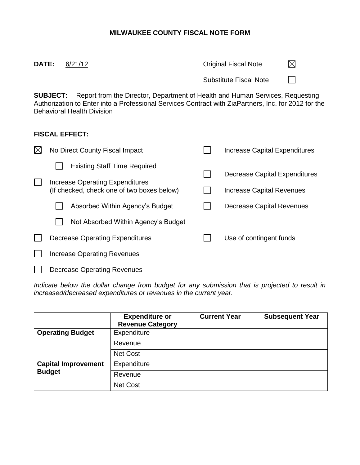## **MILWAUKEE COUNTY FISCAL NOTE FORM**

| <b>DATE:</b> | 6/21/12                                                                                                                                                                                                                                    | <b>Original Fiscal Note</b>   | IХI |
|--------------|--------------------------------------------------------------------------------------------------------------------------------------------------------------------------------------------------------------------------------------------|-------------------------------|-----|
|              |                                                                                                                                                                                                                                            | <b>Substitute Fiscal Note</b> |     |
|              | <b>SUBJECT:</b> Report from the Director, Department of Health and Human Services, Requesting<br>Authorization to Enter into a Professional Services Contract with ZiaPartners, Inc. for 2012 for the<br><b>Behavioral Health Division</b> |                               |     |

## **FISCAL EFFECT:**

| No Direct County Fiscal Impact                                                                                                                          |  | Increase Capital Expenditures                                                           |
|---------------------------------------------------------------------------------------------------------------------------------------------------------|--|-----------------------------------------------------------------------------------------|
| <b>Existing Staff Time Required</b><br>Increase Operating Expenditures<br>(If checked, check one of two boxes below)<br>Absorbed Within Agency's Budget |  | Decrease Capital Expenditures<br>Increase Capital Revenues<br>Decrease Capital Revenues |
| Not Absorbed Within Agency's Budget<br>Decrease Operating Expenditures                                                                                  |  | Use of contingent funds                                                                 |
| <b>Increase Operating Revenues</b>                                                                                                                      |  |                                                                                         |
| <b>Decrease Operating Revenues</b>                                                                                                                      |  |                                                                                         |

*Indicate below the dollar change from budget for any submission that is projected to result in increased/decreased expenditures or revenues in the current year.*

|                            | <b>Expenditure or</b><br><b>Revenue Category</b> | <b>Current Year</b> | <b>Subsequent Year</b> |
|----------------------------|--------------------------------------------------|---------------------|------------------------|
| <b>Operating Budget</b>    | Expenditure                                      |                     |                        |
|                            | Revenue                                          |                     |                        |
|                            | <b>Net Cost</b>                                  |                     |                        |
| <b>Capital Improvement</b> | Expenditure                                      |                     |                        |
| <b>Budget</b>              | Revenue                                          |                     |                        |
|                            | Net Cost                                         |                     |                        |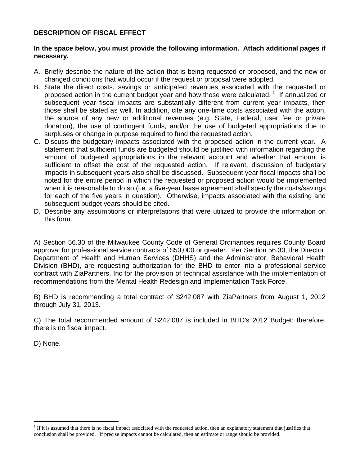## **DESCRIPTION OF FISCAL EFFECT**

## **In the space below, you must provide the following information. Attach additional pages if necessary.**

- A. Briefly describe the nature of the action that is being requested or proposed, and the new or changed conditions that would occur if the request or proposal were adopted.
- B. State the direct costs, savings or anticipated revenues associated with the requested or proposed action in the current budget year and how those were calculated.<sup>1</sup> If annualized or subsequent year fiscal impacts are substantially different from current year impacts, then those shall be stated as well. In addition, cite any one-time costs associated with the action, the source of any new or additional revenues (e.g. State, Federal, user fee or private donation), the use of contingent funds, and/or the use of budgeted appropriations due to surpluses or change in purpose required to fund the requested action.
- C. Discuss the budgetary impacts associated with the proposed action in the current year. A statement that sufficient funds are budgeted should be justified with information regarding the amount of budgeted appropriations in the relevant account and whether that amount is sufficient to offset the cost of the requested action.If relevant, discussion of budgetary impacts in subsequent years also shall be discussed. Subsequent year fiscal impacts shall be noted for the entire period in which the requested or proposed action would be implemented when it is reasonable to do so (i.e. a five-year lease agreement shall specify the costs/savings for each of the five years in question). Otherwise, impacts associated with the existing and subsequent budget years should be cited.
- D. Describe any assumptions or interpretations that were utilized to provide the information on this form.

A) Section 56.30 of the Milwaukee County Code of General Ordinances requires County Board approval for professional service contracts of \$50,000 or greater. Per Section 56.30, the Director, Department of Health and Human Services (DHHS) and the Administrator, Behavioral Health Division (BHD), are requesting authorization for the BHD to enter into a professional service contract with ZiaPartners, Inc for the provision of technical assistance with the implementation of recommendations from the Mental Health Redesign and Implementation Task Force.

B) BHD is recommending a total contract of \$242,087 with ZiaPartners from August 1, 2012 through July 31, 2013.

C) The total recommended amount of \$242,087 is included in BHD's 2012 Budget; therefore, there is no fiscal impact.

D) None.

 $\overline{a}$ 

<sup>&</sup>lt;sup>1</sup> If it is assumed that there is no fiscal impact associated with the requested action, then an explanatory statement that justifies that conclusion shall be provided.If precise impacts cannot be calculated, then an estimate or range should be provided.